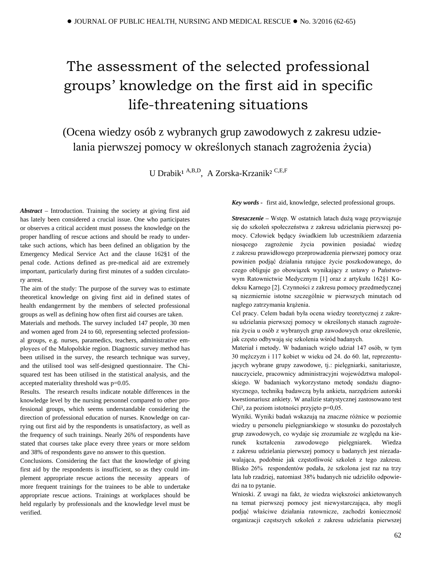# The assessment of the selected professional groups' knowledge on the first aid in specific life-threatening situations

(Ocena wiedzy osób z wybranych grup zawodowych z zakresu udzielania pierwszej pomocy w określonych stanach zagrożenia życia)

U Drabik<sup>1 A,B,D</sup>, A Zorska-Krzanik<sup>2 C,E,F</sup>

*Abstract –* Introduction. Training the society at giving first aid has lately been considered a crucial issue. One who participates or observes a critical accident must possess the knowledge on the proper handling of rescue actions and should be ready to undertake such actions, which has been defined an obligation by the Emergency Medical Service Act and the clause 162§1 of the penal code. Actions defined as pre-medical aid are extremely important, particularly during first minutes of a sudden circulatory arrest.

The aim of the study: The purpose of the survey was to estimate theoretical knowledge on giving first aid in defined states of health endangerment by the members of selected professional groups as well as defining how often first aid courses are taken.

Materials and methods. The survey included 147 people, 30 men and women aged from 24 to 60, representing selected professional groups, e.g. nurses, paramedics, teachers, administrative employees of the Małopolskie region. Diagnostic survey method has been utilised in the survey, the research technique was survey, and the utilised tool was self-designed questionnaire. The Chisquared test has been utilised in the statistical analysis, and the accepted materiality threshold was p=0.05.

Results. The research results indicate notable differences in the knowledge level by the nursing personnel compared to other professional groups, which seems understandable considering the direction of professional education of nurses. Knowledge on carrying out first aid by the respondents is unsatisfactory, as well as the frequency of such trainings. Nearly 26% of respondents have stated that courses take place every three years or more seldom and 38% of respondents gave no answer to this question.

Conclusions. Considering the fact that the knowledge of giving first aid by the respondents is insufficient, so as they could implement appropriate rescue actions the necessity appears of more frequent trainings for the trainees to be able to undertake appropriate rescue actions. Trainings at workplaces should be held regularly by professionals and the knowledge level must be verified.

*Key words -* first aid, knowledge, selected professional groups.

*Streszczenie –* Wstęp. W ostatnich latach dużą wagę przywiązuje się do szkoleń społeczeństwa z zakresu udzielania pierwszej pomocy. Człowiek będący świadkiem lub uczestnikiem zdarzenia niosącego zagrożenie życia powinien posiadać wiedzę z zakresu prawidłowego przeprowadzenia pierwszej pomocy oraz powinien podjąć działania ratujące życie poszkodowanego, do czego obliguje go obowiązek wynikający z ustawy o Państwowym Ratownictwie Medycznym [1] oraz z artykułu 162§1 Kodeksu Karnego [2]. Czynności z zakresu pomocy przedmedycznej są niezmiernie istotne szczególnie w pierwszych minutach od nagłego zatrzymania krążenia.

Cel pracy. Celem badań była ocena wiedzy teoretycznej z zakresu udzielania pierwszej pomocy w określonych stanach zagrożenia życia u osób z wybranych grup zawodowych oraz określenie, jak często odbywają się szkolenia wśród badanych.

Materiał i metody. W badaniach wzięło udział 147 osób, w tym 30 mężczyzn i 117 kobiet w wieku od 24. do 60. lat, reprezentujących wybrane grupy zawodowe, tj.: pielęgniarki, sanitariusze, nauczyciele, pracownicy administracyjni województwa małopolskiego. W badaniach wykorzystano metodę sondażu diagnostycznego, techniką badawczą była ankieta, narzędziem autorski kwestionariusz ankiety. W analizie statystycznej zastosowano test Chi², za poziom istotności przyjęto p=0,05.

Wyniki. Wyniki badań wskazują na znaczne różnice w poziomie wiedzy u personelu pielęgniarskiego w stosunku do pozostałych grup zawodowych, co wydaje się zrozumiałe ze względu na kierunek kształcenia zawodowego pielęgniarek. Wiedza z zakresu udzielania pierwszej pomocy u badanych jest niezadawalająca, podobnie jak częstotliwość szkoleń z tego zakresu. Blisko 26% respondentów podała, że szkolona jest raz na trzy lata lub rzadziej, natomiast 38% badanych nie udzieliło odpowiedzi na to pytanie.

Wnioski. Z uwagi na fakt, że wiedza większości ankietowanych na temat pierwszej pomocy jest niewystarczająca, aby mogli podjąć właściwe działania ratownicze, zachodzi konieczność organizacji częstszych szkoleń z zakresu udzielania pierwszej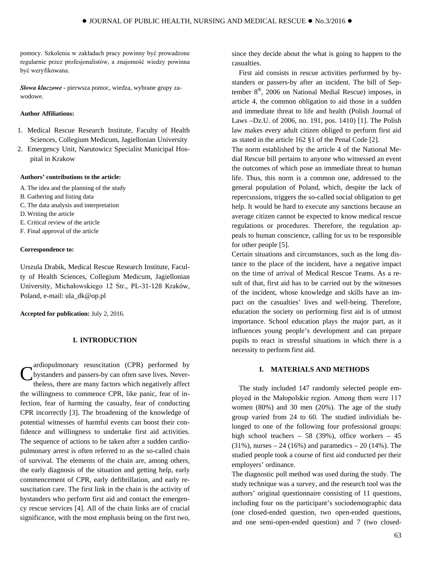pomocy. Szkolenia w zakładach pracy powinny być prowadzone regularnie przez profesjonalistów, a znajomość wiedzy powinna być weryfikowana.

*Słowa kluczowe -* pierwsza pomoc, wiedza, wybrane grupy zawodowe.

## **Author Affiliations:**

- 1. Medical Rescue Research Institute, Faculty of Health Sciences, Collegium Medicum, Jagiellonian University
- 2. Emergency Unit, Narutowicz Specialist Municipal Hospital in Krakow

#### **Authors' contributions to the article:**

- A.The idea and the planning of the study
- B. Gathering and listing data
- C. The data analysis and interpretation
- D.Writing the article
- E. Critical review of the article
- F. Final approval of the article

#### **Correspondence to:**

Urszula Drabik, Medical Rescue Research Institute, Faculty of Health Sciences, Collegium Medicum, Jagiellonian University, Michałowskiego 12 Str., PL-31-128 Kraków, Poland, e-mail: [ula\\_dk@op.pl](mailto:ula_dk@op.pl)

**Accepted for publication:** July 2, 2016.

## **I. INTRODUCTION**

ardiopulmonary resuscitation (CPR) performed by bystanders and passers-by can often save lives. Nevertheless, there are many factors which negatively affect the willingness to commence CPR, like panic, fear of infection, fear of harming the casualty, fear of conducting CPR incorrectly [3]. The broadening of the knowledge of potential witnesses of harmful events can boost their confidence and willingness to undertake first aid activities. The sequence of actions to be taken after a sudden cardiopulmonary arrest is often referred to as the so-called chain of survival. The elements of the chain are, among others, the early diagnosis of the situation and getting help, early commencement of CPR, early defibrillation, and early resuscitation care. The first link in the chain is the activity of bystanders who perform first aid and contact the emergency rescue services [4]. All of the chain links are of crucial significance, with the most emphasis being on the first two, C

since they decide about the what is going to happen to the casualties.

First aid consists in rescue activities performed by bystanders or passers-by after an incident. The bill of September  $8<sup>th</sup>$ , 2006 on National Medial Rescue) imposes, in article 4, the common obligation to aid those in a sudden and immediate threat to life and health (Polish Journal of Laws –Dz.U. of 2006, no. 191, pos. 1410) [1]. The Polish law makes every adult citizen obliged to perform first aid as stated in the article 162 §1 of the Penal Code [2].

The norm established by the article 4 of the National Medial Rescue bill pertains to anyone who witnessed an event the outcomes of which pose an immediate threat to human life. Thus, this norm is a common one, addressed to the general population of Poland, which, despite the lack of repercussions, triggers the so-called social obligation to get help. It would be hard to execute any sanctions because an average citizen cannot be expected to know medical rescue regulations or procedures. Therefore, the regulation appeals to human conscience, calling for us to be responsible for other people [5].

Certain situations and circumstances, such as the long distance to the place of the incident, have a negative impact on the time of arrival of Medical Rescue Teams. As a result of that, first aid has to be carried out by the witnesses of the incident, whose knowledge and skills have an impact on the casualties' lives and well-being. Therefore, education the society on performing first aid is of utmost importance. School education plays the major part, as it influences young people's development and can prepare pupils to react in stressful situations in which there is a necessity to perform first aid.

## **I. MATERIALS AND METHODS**

The study included 147 randomly selected people employed in the Małopolskie region. Among them were 117 women (80%) and 30 men (20%). The age of the study group varied from 24 to 60. The studied individials belonged to one of the following four professional groups: high school teachers – 58 (39%), office workers – 45  $(31\%)$ , nurses  $- 24$  (16%) and paramedics  $- 20$  (14%). The studied people took a course of first aid conducted per their employers' ordinance.

The diagnostic poll method was used during the study. The study technique was a survey, and the research tool was the authors' original questionnaire consisting of 11 questions, including four on the participant's sociodemographic data (one closed-ended question, two open-ended questions, and one semi-open-ended question) and 7 (two closed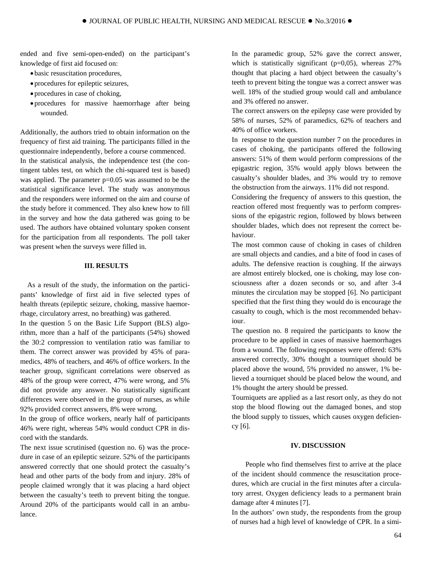ended and five semi-open-ended) on the participant's knowledge of first aid focused on:

- basic resuscitation procedures,
- procedures for epileptic seizures,
- procedures in case of choking,
- procedures for massive haemorrhage after being wounded.

Additionally, the authors tried to obtain information on the frequency of first aid training. The participants filled in the questionnaire independently, before a course commenced. In the statistical analysis, the independence test (the contingent tables test, on which the chi-squared test is based) was applied. The parameter  $p=0.05$  was assumed to be the statistical significance level. The study was anonymous and the responders were informed on the aim and course of the study before it commenced. They also knew how to fill in the survey and how the data gathered was going to be used. The authors have obtained voluntary spoken consent for the participation from all respondents. The poll taker was present when the surveys were filled in.

## **III. RESULTS**

As a result of the study, the information on the participants' knowledge of first aid in five selected types of health threats (epileptic seizure, choking, massive haemorrhage, circulatory arrest, no breathing) was gathered.

In the question 5 on the Basic Life Support (BLS) algorithm, more than a half of the participants (54%) showed the 30:2 compression to ventilation ratio was familiar to them. The correct answer was provided by 45% of paramedics, 48% of teachers, and 46% of office workers. In the teacher group, significant correlations were observed as 48% of the group were correct, 47% were wrong, and 5% did not provide any answer. No statistically significant differences were observed in the group of nurses, as while 92% provided correct answers, 8% were wrong.

In the group of office workers, nearly half of participants 46% were right, whereas 54% would conduct CPR in discord with the standards.

The next issue scrutinised (question no. 6) was the procedure in case of an epileptic seizure. 52% of the participants answered correctly that one should protect the casualty's head and other parts of the body from and injury. 28% of people claimed wrongly that it was placing a hard object between the casualty's teeth to prevent biting the tongue. Around 20% of the participants would call in an ambulance.

In the paramedic group, 52% gave the correct answer, which is statistically significant ( $p=0.05$ ), whereas 27% thought that placing a hard object between the casualty's teeth to prevent biting the tongue was a correct answer was well. 18% of the studied group would call and ambulance and 3% offered no answer.

The correct answers on the epilepsy case were provided by 58% of nurses, 52% of paramedics, 62% of teachers and 40% of office workers.

In response to the question number 7 on the procedures in cases of choking, the participants offered the following answers: 51% of them would perform compressions of the epigastric region, 35% would apply blows between the casualty's shoulder blades, and 3% would try to remove the obstruction from the airways. 11% did not respond.

Considering the frequency of answers to this question, the reaction offered most frequently was to perform compressions of the epigastric region, followed by blows between shoulder blades, which does not represent the correct behaviour.

The most common cause of choking in cases of children are small objects and candies, and a bite of food in cases of adults. The defensive reaction is coughing. If the airways are almost entirely blocked, one is choking, may lose consciousness after a dozen seconds or so, and after 3-4 minutes the circulation may be stopped [6]. No participant specified that the first thing they would do is encourage the casualty to cough, which is the most recommended behaviour.

The question no. 8 required the participants to know the procedure to be applied in cases of massive haemorrhages from a wound. The following responses were offered: 63% answered correctly, 30% thought a tourniquet should be placed above the wound, 5% provided no answer, 1% believed a tourniquet should be placed below the wound, and 1% thought the artery should be pressed.

Tourniquets are applied as a last resort only, as they do not stop the blood flowing out the damaged bones, and stop the blood supply to tissues, which causes oxygen deficiency [6].

#### **IV. DISCUSSION**

People who find themselves first to arrive at the place of the incident should commence the resuscitation procedures, which are crucial in the first minutes after a circulatory arrest. Oxygen deficiency leads to a permanent brain damage after 4 minutes [7].

In the authors' own study, the respondents from the group of nurses had a high level of knowledge of CPR. In a simi